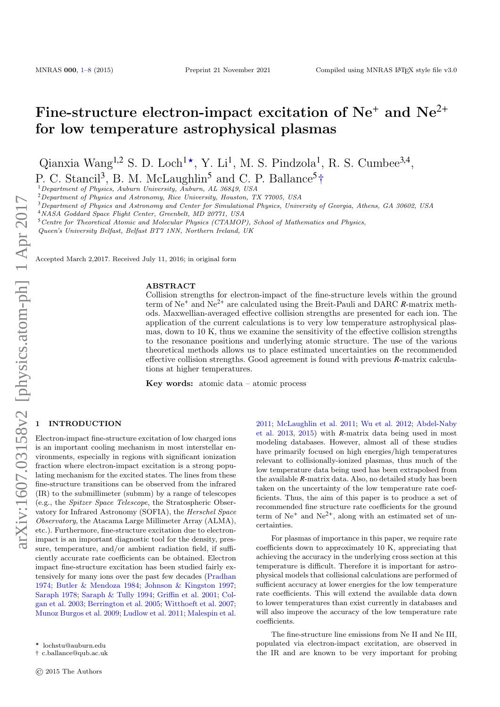# Fine-structure electron-impact excitation of  $Ne^+$  and  $Ne^{2+}$ for low temperature astrophysical plasmas

Qianxia Wang<sup>1,2</sup> S. D. Loch<sup>1\*</sup>, Y. Li<sup>1</sup>, M. S. Pindzola<sup>1</sup>, R. S. Cumbee<sup>3,4</sup>, P. C. Stancil<sup>3</sup>, B. M. McLaughlin<sup>5</sup> and C. P. Ballance<sup>5</sup>†

<sup>1</sup>Department of Physics, Auburn University, Auburn, AL 36849, USA

 $2$ Department of Physics and Astronomy, Rice University, Houston, TX 77005, USA

<sup>3</sup>Department of Physics and Astronomy and Center for Simulational Physics, University of Georgia, Athens, GA 30602, USA

<sup>4</sup>NASA Goddard Space Flight Center, Greenbelt, MD 20771, USA

<sup>5</sup>Centre for Theoretical Atomic and Molecular Physics (CTAMOP), School of Mathematics and Physics,

Queen's University Belfast, Belfast BT7 1NN, Northern Ireland, UK

Accepted March 2,2017. Received July 11, 2016; in original form

#### **ABSTRACT**

Collision strengths for electron-impact of the fine-structure levels within the ground term of Ne<sup>+</sup> and Ne2<sup>+</sup> are calculated using the Breit-Pauli and DARC *R*-matrix methods. Maxwellian-averaged effective collision strengths are presented for each ion. The application of the current calculations is to very low temperature astrophysical plasmas, down to 10 K, thus we examine the sensitivity of the effective collision strengths to the resonance positions and underlying atomic structure. The use of the various theoretical methods allows us to place estimated uncertainties on the recommended effective collision strengths. Good agreement is found with previous *R*-matrix calculations at higher temperatures.

Key words: atomic data – atomic process

## <span id="page-0-0"></span>**INTRODUCTION**

Electron-impact fine-structure excitation of low charged ions is an important cooling mechanism in most interstellar environments, especially in regions with significant ionization fraction where electron-impact excitation is a strong populating mechanism for the excited states. The lines from these fine-structure transitions can be observed from the infrared (IR) to the submillimeter (submm) by a range of telescopes (e.g., the Spitzer Space Telescope, the Stratospheric Observatory for Infrared Astronomy (SOFIA), the Herschel Space Observatory, the Atacama Large Millimeter Array (ALMA), etc.). Furthermore, fine-structure excitation due to electronimpact is an important diagnostic tool for the density, pressure, temperature, and/or ambient radiation field, if sufficiently accurate rate coefficients can be obtained. Electron impact fine-structure excitation has been studied fairly extensively for many ions over the past few decades [\(Pradhan](#page-7-0) [1974;](#page-7-0) [Butler & Mendoza](#page-6-1) [1984;](#page-6-1) [Johnson & Kingston](#page-7-1) [1997;](#page-7-1) [Saraph](#page-7-2) [1978;](#page-7-2) [Saraph & Tully](#page-7-3) [1994;](#page-7-3) [Griffin et al.](#page-7-4) [2001;](#page-7-4) [Col](#page-6-2)[gan et al.](#page-6-2) [2003;](#page-6-2) [Berrington et al.](#page-6-3) [2005;](#page-6-3) [Witthoeft et al.](#page-7-5) [2007;](#page-7-5) [Munoz Burgos et al.](#page-7-6) [2009;](#page-7-6) [Ludlow et al.](#page-7-7) [2011;](#page-7-7) [Malespin et al.](#page-7-8)

[2011;](#page-7-8) [McLaughlin et al.](#page-7-9) [2011;](#page-7-9) [Wu et al.](#page-7-10) [2012;](#page-7-10) [Abdel-Naby](#page-6-4) [et al.](#page-6-4) [2013,](#page-6-4) [2015\)](#page-6-5) with *R*-matrix data being used in most modeling databases. However, almost all of these studies have primarily focused on high energies/high temperatures relevant to collisionally-ionized plasmas, thus much of the low temperature data being used has been extrapolsed from the available *R*-matrix data. Also, no detailed study has been taken on the uncertainty of the low temperature rate coefficients. Thus, the aim of this paper is to produce a set of recommended fine structure rate coefficients for the ground term of  $Ne^+$  and  $Ne^{2+}$ , along with an estimated set of uncertainties.

For plasmas of importance in this paper, we require rate coefficients down to approximately 10 K, appreciating that achieving the accuracy in the underlying cross section at this temperature is difficult. Therefore it is important for astrophysical models that collisional calculations are performed of sufficient accuracy at lower energies for the low temperature rate coefficients. This will extend the available data down to lower temperatures than exist currently in databases and will also improve the accuracy of the low temperature rate coefficients.

The fine-structure line emissions from Ne II and Ne III, populated via electron-impact excitation, are observed in the IR and are known to be very important for probing

<sup>?</sup> lochstu@auburn.edu

<sup>†</sup> c.ballance@qub.ac.uk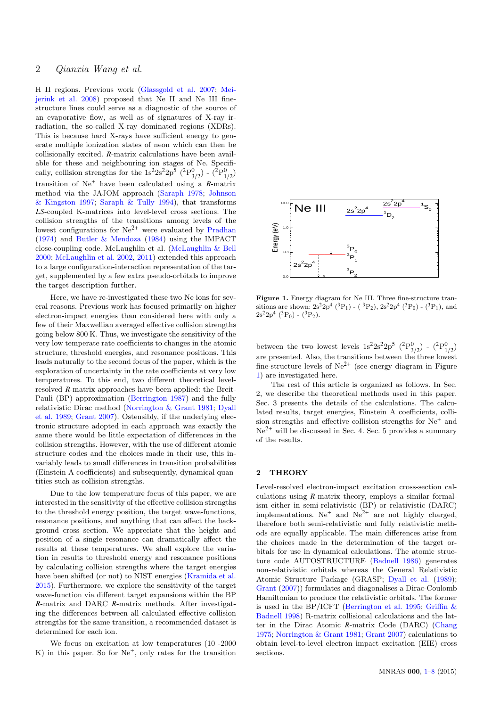# 2 Qianxia Wang et al.

H II regions. Previous work [\(Glassgold et al.](#page-6-6) [2007;](#page-6-6) [Mei](#page-7-11)[jerink et al.](#page-7-11) [2008\)](#page-7-11) proposed that Ne II and Ne III finestructure lines could serve as a diagnostic of the source of an evaporative flow, as well as of signatures of X-ray irradiation, the so-called X-ray dominated regions (XDRs). This is because hard X-rays have sufficient energy to generate multiple ionization states of neon which can then be collisionally excited. *R*-matrix calculations have been available for these and neighbouring ion stages of Ne. Specifically, collision strengths for the  $1s^2 2s^2 2p^5$   $(^2P^0_{3/2})$  -  $(^2P^0_{1/2})$ transition of Ne<sup>+</sup> have been calculated using a *R*-matrix method via the JAJOM approach [\(Saraph](#page-7-2) [1978;](#page-7-2) [Johnson](#page-7-1) [& Kingston](#page-7-1) [1997;](#page-7-1) [Saraph & Tully](#page-7-3) [1994\)](#page-7-3), that transforms *LS*-coupled K-matrices into level-level cross sections. The collision strengths of the transitions among levels of the lowest configurations for Ne2<sup>+</sup> were evaluated by [Pradhan](#page-7-0) [\(1974\)](#page-7-0) and [Butler & Mendoza](#page-6-1) [\(1984\)](#page-6-1) using the IMPACT close-coupling code. McLaughlin et al. [\(McLaughlin & Bell](#page-7-12) [2000;](#page-7-12) [McLaughlin et al.](#page-7-13) [2002,](#page-7-13) [2011\)](#page-7-9) extended this approach to a large configuration-interaction representation of the target, supplemented by a few extra pseudo-orbitals to improve the target description further.

Here, we have re-investigated these two Ne ions for several reasons. Previous work has focused primarily on higher electron-impact energies than considered here with only a few of their Maxwellian averaged effective collision strengths going below 800 K. Thus, we investigate the sensitivity of the very low temperate rate coefficients to changes in the atomic structure, threshold energies, and resonance positions. This leads naturally to the second focus of the paper, which is the exploration of uncertainty in the rate coefficients at very low temperatures. To this end, two different theoretical levelresolved *R*-matrix approaches have been applied: the Breit-Pauli (BP) approximation [\(Berrington](#page-6-7) [1987\)](#page-6-7) and the fully relativistic Dirac method [\(Norrington & Grant](#page-7-14) [1981;](#page-7-14) [Dyall](#page-6-8) [et al.](#page-6-8) [1989;](#page-6-8) [Grant](#page-6-9) [2007\)](#page-6-9). Ostensibly, if the underlying electronic structure adopted in each approach was exactly the same there would be little expectation of differences in the collision strengths. However, with the use of different atomic structure codes and the choices made in their use, this invariably leads to small differences in transition probabilities (Einstein A coefficients) and subsequently, dynamical quantities such as collision strengths.

Due to the low temperature focus of this paper, we are interested in the sensitivity of the effective collision strengths to the threshold energy position, the target wave-functions, resonance positions, and anything that can affect the background cross section. We appreciate that the height and position of a single resonance can dramatically affect the results at these temperatures. We shall explore the variation in results to threshold energy and resonance positions by calculating collision strengths where the target energies have been shifted (or not) to NIST energies [\(Kramida et al.](#page-7-15) [2015\)](#page-7-15). Furthermore, we explore the sensitivity of the target wave-function via different target expansions within the BP *R*-matrix and DARC *R*-matrix methods. After investigating the differences between all calculated effective collision strengths for the same transition, a recommended dataset is determined for each ion.

We focus on excitation at low temperatures (10 -2000  $K$ ) in this paper. So for  $Ne<sup>+</sup>$ , only rates for the transition



<span id="page-1-0"></span>Figure 1. Energy diagram for Ne III. Three fine-structure transitions are shown:  $2s^2 2p^4$  (<sup>3</sup>P<sub>1</sub>) - (<sup>3</sup>P<sub>2</sub>),  $2s^2 2p^4$  (<sup>3</sup>P<sub>0</sub>) - (<sup>3</sup>P<sub>1</sub>), and  $2s^22p^4$  (<sup>3</sup>P<sub>0</sub>) - (<sup>3</sup>P<sub>2</sub>).

between the two lowest levels  $1s^2 2s^2 2p^5$   $(^2P^0_{3/2})$  -  $(^2P^0_{1/2})$ are presented. Also, the transitions between the three lowest fine-structure levels of  $Ne^{2+}$  (see energy diagram in Figure [1\)](#page-1-0) are investigated here.

The rest of this article is organized as follows. In Sec. 2, we describe the theoretical methods used in this paper. Sec. 3 presents the details of the calculations. The calculated results, target energies, Einstein A coefficients, collision strengths and effective collision strengths for Ne<sup>+</sup> and  $Ne^{2+}$  will be discussed in Sec. 4. Sec. 5 provides a summary of the results.

#### 2 THEORY

Level-resolved electron-impact excitation cross-section calculations using *R*-matrix theory, employs a similar formalism either in semi-relativistic (BP) or relativistic (DARC) implementations. Ne<sup>+</sup> and Ne<sup>2+</sup> are not highly charged, therefore both semi-relativistic and fully relativistic methods are equally applicable. The main differences arise from the choices made in the determination of the target orbitals for use in dynamical calculations. The atomic structure code AUTOSTRUCTURE [\(Badnell](#page-6-10) [1986\)](#page-6-10) generates non-relativistic orbitals whereas the General Relativistic Atomic Structure Package (GRASP; [Dyall et al.](#page-6-8) [\(1989\)](#page-6-8); [Grant](#page-6-9) [\(2007\)](#page-6-9)) formulates and diagonalises a Dirac-Coulomb Hamiltonian to produce the relativistic orbitals. The former is used in the BP/ICFT [\(Berrington et al.](#page-6-11) [1995;](#page-6-11) [Griffin &](#page-6-12) [Badnell](#page-6-12) [1998\)](#page-6-12) R-matrix collisional calculations and the latter in the Dirac Atomic *R*-matrix Code (DARC) [\(Chang](#page-6-13) [1975;](#page-6-13) [Norrington & Grant](#page-7-14) [1981;](#page-7-14) [Grant](#page-6-9) [2007\)](#page-6-9) calculations to obtain level-to-level electron impact excitation (EIE) cross sections.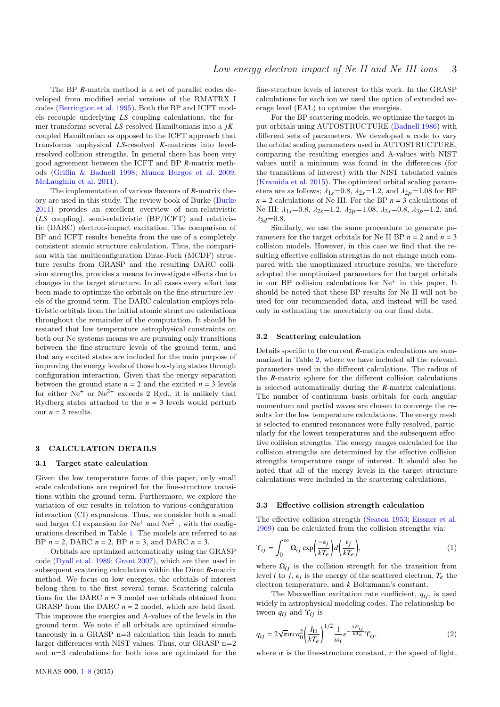The BP *R*-matrix method is a set of parallel codes developed from modified serial versions of the RMATRX I codes [\(Berrington et al.](#page-6-11) [1995\)](#page-6-11). Both the BP and ICFT models recouple underlying *LS* coupling calculations, the former transforms several *LS*-resolved Hamiltonians into a *jK*coupled Hamiltonian as opposed to the ICFT approach that transforms unphysical *LS*-resolved *K*-matrices into levelresolved collision strengths. In general there has been very good agreement between the ICFT and BP *R*-matrix methods [\(Griffin & Badnell](#page-6-12) [1998;](#page-6-12) [Munoz Burgos et al.](#page-7-6) [2009;](#page-7-6) [McLaughlin et al.](#page-7-9) [2011\)](#page-7-9).

The implementation of various flavours of *R*-matrix theory are used in this study. The review book of Burke [\(Burke](#page-6-14) [2011\)](#page-6-14) provides an excellent overview of non-relativistic (*LS* coupling), semi-relativistic (BP/ICFT) and relativistic (DARC) electron-impact excitation. The comparison of BP and ICFT results benefits from the use of a completely consistent atomic structure calculation. Thus, the comparison with the multiconfiguration Dirac-Fock (MCDF) structure results from GRASP and the resulting DARC collision strengths, provides a means to investigate effects due to changes in the target structure. In all cases every effort has been made to optimize the orbitals on the fine-structure levels of the ground term. The DARC calculation employs relativistic orbitals from the initial atomic structure calculations throughout the remainder of the computation. It should be restated that low temperature astrophysical constraints on both our Ne systems means we are pursuing only transitions between the fine-structure levels of the ground term, and that any excited states are included for the main purpose of improving the energy levels of those low-lying states through configuration interaction. Given that the energy separation between the ground state  $n = 2$  and the excited  $n = 3$  levels for either  $Ne^+$  or  $Ne^{2+}$  exceeds 2 Ryd., it is unlikely that Rydberg states attached to the  $n = 3$  levels would perturb our  $n = 2$  results.

#### 3 CALCULATION DETAILS

#### 3.1 Target state calculation

Given the low temperature focus of this paper, only small scale calculations are required for the fine-structure transitions within the ground term. Furthermore, we explore the variation of our results in relation to various configurationinteraction (CI) expansions. Thus, we consider both a small and larger CI expansion for  $Ne^+$  and  $Ne^{2+}$ , with the configurations described in Table [1.](#page-3-0) The models are referred to as BP *n* = 2, DARC *n* = 2, BP *n* = 3, and DARC *n* = 3.

Orbitals are optimized automatically using the GRASP code [\(Dyall et al.](#page-6-8) [1989;](#page-6-8) [Grant](#page-6-9) [2007\)](#page-6-9), which are then used in subsequent scattering calculation within the Dirac *R*-matrix method. We focus on low energies, the orbitals of interest belong then to the first several terms. Scattering calculations for the DARC *n* = 3 model use orbitals obtained from GRASP from the DARC  $n = 2$  model, which are held fixed. This improves the energies and A-values of the levels in the ground term. We note if all orbitals are optimized simulataneously in a GRASP n=3 calculation this leads to much larger differences with NIST values. Thus, our GRASP  $n=2$ and n=3 calculations for both ions are optimized for the fine-structure levels of interest to this work. In the GRASP calculations for each ion we used the option of extended average level (EAL) to optimize the energies.

For the BP scattering models, we optimize the target input orbitals using AUTOSTRUCTURE [\(Badnell](#page-6-10) [1986\)](#page-6-10) with different sets of parameters. We developed a code to vary the orbital scaling parameters used in AUTOSTRUCTURE, comparing the resulting energies and A-values with NIST values until a minimum was found in the differences (for the transitions of interest) with the NIST tabulated values [\(Kramida et al.](#page-7-15) [2015\)](#page-7-15). The optimized orbital scaling parameters are as follows;  $\lambda_{1s}=0.8$ ,  $\lambda_{2s}=1.2$ , and  $\lambda_{2p}=1.08$  for BP  $n = 2$  calculations of Ne III. For the BP  $n = 3$  calculations of Ne III:  $\lambda_{1s}=0.8$ ,  $\lambda_{2s}=1.2$ ,  $\lambda_{2p}=1.08$ ,  $\lambda_{3s}=0.8$ ,  $\lambda_{3p}=1.2$ , and  $\lambda_{3d}$ =0.8.

Similarly, we use the same proceedure to generate parameters for the target orbitals for Ne II BP  $n = 2$  and  $n = 3$ collision models. However, in this case we find that the resulting effective collision strengths do not change much compared with the unoptimized structure results, we therefore adopted the unoptimized parameters for the target orbitals in our BP collision calculations for  $Ne<sup>+</sup>$  in this paper. It should be noted that these BP results for Ne II will not be used for our recommended data, and instead will be used only in estimating the uncertainty on our final data.

#### 3.2 Scattering calculation

Details specific to the current *R*-matrix calculations are summarized in Table [2,](#page-3-1) where we have included all the relevant parameters used in the different calculations. The radius of the *R*-matrix sphere for the different collision calculations is selected automatically during the *R*-matrix calculations. The number of continuum basis orbitals for each angular momentum and partial waves are chosen to converge the results for the low temperature calculations. The energy mesh is selected to ensured resonances were fully resolved, particularly for the lowest temperatures and the subsequent effective collision strengths. The energy ranges calculated for the collision strengths are determined by the effective collision strengths temperature range of interest. It should also be noted that all of the energy levels in the target structure calculations were included in the scattering calculations.

#### 3.3 Effective collision strength calculation

The effective collision strength [\(Seaton](#page-7-16) [1953;](#page-7-16) [Eissner et al.](#page-6-15) [1969\)](#page-6-15) can be calculated from the collision strengths via:

$$
\Upsilon_{ij} = \int_0^\infty \Omega_{ij} \exp\left(\frac{-\epsilon_j}{kT_e}\right) d\left(\frac{\epsilon_j}{kT_e}\right),\tag{1}
$$

where  $\Omega_{ij}$  is the collision strength for the transition from level *i* to *j*,  $\epsilon_j$  is the energy of the scattered electron,  $T_e$  the electron temperature, and *k* Boltzmann's constant electron temperature, and *k* Boltzmann's constant.

The Maxwellian excitation rate coefficient,  $q_{ij}$ , is used widely in astrophysical modeling codes. The relationship between  $q_{ij}$  and  $\Upsilon_{ij}$  is

$$
q_{ij} = 2\sqrt{\pi}\alpha c a_0^2 \left(\frac{I_H}{kT_e}\right)^{1/2} \frac{1}{\omega_i} e^{-\frac{\Delta E_{ij}}{kT_e}} \Upsilon_{ij},\tag{2}
$$

where  $\alpha$  is the fine-structure constant,  $c$  the speed of light.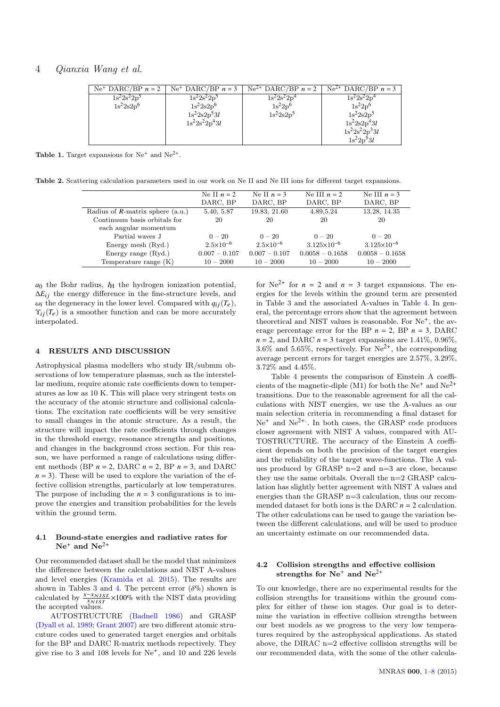# 4 Qianxia Wang et al.

| $Ne^+$ DARC/BP $n = 2$ | $Ne^+$ DARC/BP $n = 3$ | $Ne^{2+}$ DARC/BP $n = 2$ | $Ne^{2+}$ DARC/BP $n = 3$ |
|------------------------|------------------------|---------------------------|---------------------------|
| $1s^22s^22p^3$         | $1s^22s^22p^3$         | $1s^{2}2s^{2}2p^{4}$      | $1s^22s^22p^4$            |
| $1s^22s2p^6$           | $1s^22s2p^6$           | $1s^22p^6$                | $1s^22p^6$                |
|                        | $1s^2 2s 2p^5 3l$      | $1s^22s2p^5$              | $1s^2 2s 2p^5$            |
|                        | $1s^22s^22p^43l$       |                           | $1s^2 2s 2p^4 3l$         |
|                        |                        |                           | $1s^2 2s^2 2p^3 3l$       |
|                        |                        |                           | $1s^22p^53l$              |

**Table 1.** Target expansions for  $Ne^+$  and  $Ne^{2+}$ .

<span id="page-3-1"></span>Table 2. Scattering calculation parameters used in our work on Ne II and Ne III ions for different target expansions.

|                                     | Ne II $n = 2$        | Ne II $n = 3$        | Ne III $n = 2$       | Ne III $n = 3$       |
|-------------------------------------|----------------------|----------------------|----------------------|----------------------|
|                                     | DARC, BP             | DARC, BP             | DARC, BP             | DARC, BP             |
| Radius of $R$ -matrix sphere (a.u.) | 5.40, 5.87           | 19.83, 21.60         | 4.89,5.24            | 13.28, 14.35         |
| Continuum basis orbitals for        | 20                   | 20                   | 20                   | 20                   |
| each angular momentum               |                      |                      |                      |                      |
| Partial waves J                     | $0 - 20$             | $0 - 20$             | $0 - 20$             | $0 - 20$             |
| Energy mesh (Ryd.)                  | $2.5 \times 10^{-6}$ | $2.5 \times 10^{-6}$ | $3.125\times10^{-6}$ | $3.125\times10^{-6}$ |
| Energy range $(Ryd.)$               | $0.007 - 0.107$      | $0.007 - 0.107$      | $0.0058 - 0.1658$    | $0.0058 - 0.1658$    |
| Temperature range $(K)$             | $10 - 2000$          | $10 - 2000$          | $10 - 2000$          | $10 - 2000$          |
|                                     |                      |                      |                      |                      |

 $a_0$  the Bohr radius,  $I_H$  the hydrogen ionization potential,  $\Delta E_{ij}$  the energy difference in the fine-structure levels, and  $\omega_i$  the degeneracy in the lower level. Compared with  $q_{ij}(T_e)$ ,  $\Upsilon_{ii}(T_e)$  is a smoother function and can be more accurately interpolated.

#### 4 RESULTS AND DISCUSSION

Astrophysical plasma modellers who study IR/submm observations of low temperature plasmas, such as the interstellar medium, require atomic rate coefficients down to temperatures as low as 10 K. This will place very stringent tests on the accuracy of the atomic structure and collisional calculations. The excitation rate coefficients will be very sensitive to small changes in the atomic structure. As a result, the structure will impact the rate coefficients through changes in the threshold energy, resonance strengths and positions, and changes in the background cross section. For this reason, we have performed a range of calculations using different methods (BP *n* = 2, DARC *n* = 2, BP *n* = 3, and DARC  $n = 3$ ). These will be used to explore the variation of the effective collision strengths, particularly at low temperatures. The purpose of including the  $n = 3$  configurations is to improve the energies and transition probabilities for the levels within the ground term.

### 4.1 Bound-state energies and radiative rates for  $Ne^+$  and  $Ne^{2+}$

Our recommended dataset shall be the model that minimizes the difference between the calculations and NIST A-values and level energies [\(Kramida et al.](#page-7-15) [2015\)](#page-7-15). The results are shown in Tables [3](#page-4-0) and [4.](#page-4-1) The percent error ( $\delta\%$ ) shown is calculated by  $\frac{x - x_{NIST}}{x_{NIST}} \times 100\%$  with the NIST data providing the accepted values.

AUTOSTRUCTURE [\(Badnell](#page-6-10) [1986\)](#page-6-10) and GRASP [\(Dyall et al.](#page-6-8) [1989;](#page-6-8) [Grant](#page-6-9) [2007\)](#page-6-9) are two different atomic strucuture codes used to generated target energies and orbitals for the BP and DARC R-matrix methods repectively. They give rise to 3 and 108 levels for  $Ne^+$ , and 10 and 226 levels <span id="page-3-0"></span>for  $Ne^{2+}$  for  $n = 2$  and  $n = 3$  target expansions. The energies for the levels within the ground term are presented in Table [3](#page-4-0) and the associated A-values in Table [4.](#page-4-1) In general, the percentage errors show that the agreement between theoretical and NIST values is reasonable. For  $Ne<sup>+</sup>$ , the average percentage error for the BP  $n = 2$ , BP  $n = 3$ , DARC  $n = 2$ , and DARC  $n = 3$  target expansions are 1.41%, 0.96%, 3.6% and 5.65%, respectively. For  $Ne^{2+}$ , the corresponding average percent errors for target energies are 2.57%, 3.29%, 3.72% and 4.45%.

Table [4](#page-4-1) presents the comparison of Einstein A coefficients of the magnetic-diple (M1) for both the  $Ne^+$  and  $Ne^{2+}$ transitions. Due to the reasonable agreement for all the calculations with NIST energies, we use the A-values as our main selection criteria in recommending a final dataset for  $Ne<sup>+</sup>$  and  $Ne<sup>2+</sup>$ . In both cases, the GRASP code produces closer agreement with NIST A values, compared with AU-TOSTRUCTURE. The accuracy of the Einstein A coefficient depends on both the precision of the target energies and the reliability of the target wave-functions. The A values produced by GRASP  $n=2$  and  $n=3$  are close, because they use the same orbitals. Overall the n=2 GRASP calculation has slightly better agreement with NIST A values and energies than the GRASP n=3 calculation, thus our recommended dataset for both ions is the DARC *n* = 2 calculation. The other calculations can be used to gauge the variation between the different calculations, and will be used to produce an uncertainty estimate on our recommended data.

## 4.2 Collision strengths and effective collision strengths for  $Ne^+$  and  $Ne^{2+}$

To our knowledge, there are no experimental results for the collision strengths for transitions within the ground complex for either of these ion stages. Our goal is to determine the variation in effective collision strengths between our best models as we progress to the very low temperatures required by the astrophysical applications. As stated above, the DIRAC n=2 effective collision strengths will be our recommended data, with the some of the other calcula-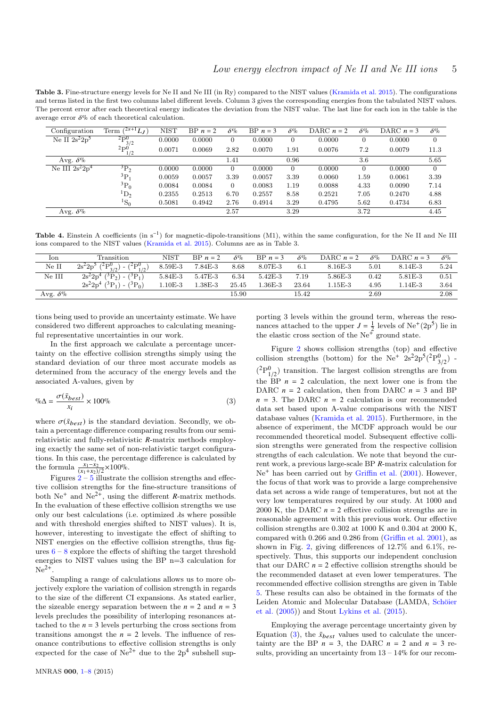<span id="page-4-0"></span>Table 3. Fine-structure energy levels for Ne II and Ne III (in Ry) compared to the NIST values [\(Kramida et al.](#page-7-15) [2015\)](#page-7-15). The configurations and terms listed in the first two columns label different levels. Column 3 gives the corresponding energies from the tabulated NIST values. The percent error after each theoretical energy indicates the deviation from the NIST value. The last line for each ion in the table is the average error  $\delta\%$  of each theoretical calculation.

| Configuration     | $(^{2s+1}L_J)$<br>Term     | <b>NIST</b> | $BP n = 2$ | $\delta\%$ | $BP n = 3$ | $\delta\%$     | DARC $n = 2$ | $\delta\%$ | DARC $n = 3$ | $\delta\%$     |
|-------------------|----------------------------|-------------|------------|------------|------------|----------------|--------------|------------|--------------|----------------|
| Ne II $2s^22p^5$  | ${}^{2}\text{P}_{3/2}^{0}$ | 0.0000      | 0.0000     | 0          | 0.0000     | $\overline{0}$ | 0.0000       | 0          | 0.0000       | $\overline{0}$ |
|                   | ${}^{2}P^{0}_{1/2}$        | 0.0071      | 0.0069     | 2.82       | 0.0070     | 1.91           | 0.0076       | 7.2        | 0.0079       | 11.3           |
| Avg. $\delta\%$   |                            |             |            | 1.41       |            | 0.96           |              | 3.6        |              | 5.65           |
| Ne III $2s^22p^4$ | $\rm^{3}P_{2}$             | 0.0000      | 0.0000     | $\Omega$   | 0.0000     | $\overline{0}$ | 0.0000       | $\Omega$   | 0.0000       | $\Omega$       |
|                   | ${}^{3}P_1$                | 0.0059      | 0.0057     | 3.39       | 0.0057     | 3.39           | 0.0060       | 1.59       | 0.0061       | 3.39           |
|                   | ${}^{3}P_0$                | 0.0084      | 0.0084     | $\Omega$   | 0.0083     | 1.19           | 0.0088       | 4.33       | 0.0090       | 7.14           |
|                   | $\rm ^1D_2$                | 0.2355      | 0.2513     | 6.70       | 0.2557     | 8.58           | 0.2521       | 7.05       | 0.2470       | 4.88           |
|                   | ${}^1S_0$                  | 0.5081      | 0.4942     | 2.76       | 0.4914     | 3.29           | 0.4795       | 5.62       | 0.4734       | 6.83           |
| Avg. $\delta\%$   |                            |             |            | 2.57       |            | 3.29           |              | 3.72       |              | 4.45           |
|                   |                            |             |            |            |            |                |              |            |              |                |

<span id="page-4-1"></span>Table 4. Einstein A coefficients (in s<sup>-1</sup>) for magnetic-dipole-transitions (M1), within the same configuration, for the Ne II and Ne III ions compared to the NIST values [\(Kramida et al.](#page-7-15) [2015\)](#page-7-15). Columns are as in Table 3.

| Ion             | Transition                                                                   | NIST      | $BP n = 2$ | $\delta\%$ | $BP n = 3$ | $\delta\%$ | DARC $n = 2$ | $\delta\%$ | DARC $n = 3$ | $\delta\%$ |
|-----------------|------------------------------------------------------------------------------|-----------|------------|------------|------------|------------|--------------|------------|--------------|------------|
| Ne II           | $2s^22p^5$ $(^2P^0_{3/2}) - (^2P^0_{1/2})$                                   | $8.59E-3$ | 7.84E-3    | 8.68       | $8.07E-3$  | 6.1        | $8.16E-3$    | 5.01       | 8.14E-3      | 5.24       |
| Ne III          | $2s^22p^4$ ( <sup>3</sup> P <sub>2</sub> ) - $(3P_1)$                        | $5.84E-3$ | 5.47E-3    | 6.34       | $5.42E-3$  | 7.19       | $5.86E - 3$  | 0.42       | 5.81E-3      | 0.51       |
|                 | $2s^22p^4$ ( <sup>3</sup> P <sub>1</sub> ) - ( <sup>3</sup> P <sub>0</sub> ) | $1.10E-3$ | l.38E-3    | 25.45      | $1.36E-3$  | 23.64      | $1.15E-3$    | 4.95       | $1.14E-3$    | 3.64       |
| Avg. $\delta\%$ |                                                                              |           |            | 15.90      |            | 15.42      |              | 2.69       |              | 2.08       |
|                 |                                                                              |           |            |            |            |            |              |            |              |            |

tions being used to provide an uncertainty estimate. We have considered two different approaches to calculating meaningful representative uncertainties in our work.

In the first approach we calculate a percentage uncertainty on the effective collision strengths simply using the standard deviation of our three most accurate models as determined from the accuracy of the energy levels and the associated A-values, given by

<span id="page-4-2"></span>
$$
\% \Delta = \frac{\sigma(\bar{x}_{best})}{x_i} \times 100\% \tag{3}
$$

where  $\sigma(\bar{x}_{best})$  is the standard deviation. Secondly, we obtain a percentage difference comparing results from our semirelativistic and fully-relativistic *R*-matrix methods employing exactly the same set of non-relativistic target configurations. In this case, the percentage difference is calculated by the formula  $\frac{x_1 - x_2}{(x_1 + x_2)/2} \times 100\%$ .

Figures  $2 - 5$  $2 - 5$  $2 - 5$  illustrate the collision strengths and effective collision strengths for the fine-structure transitions of both  $Ne^+$  and  $Ne^{2+}$ , using the different *R*-matrix methods. In the evaluation of these effective collision strengths we use only our best calculations (i.e. optimized  $\lambda$ s where possible and with threshold energies shifted to NIST values). It is, however, interesting to investigate the effect of shifting to NIST energies on the effective collision strengths, thus figures  $6 - 8$  $6 - 8$  $6 - 8$  explore the effects of shifting the target threshold energies to NIST values using the BP n=3 calculation for  $Ne^{2+}$ .

Sampling a range of calculations allows us to more objectively explore the variation of collision strength in regards to the size of the different CI expansions. As stated earlier, the sizeable energy separation between the  $n = 2$  and  $n = 3$ levels precludes the possibility of interloping resonances attached to the  $n = 3$  levels perturbing the cross sections from transitions amongst the  $n = 2$  levels. The influence of resonance contributions to effective collision strengths is only expected for the case of  $Ne^{2+}$  due to the  $2p^4$  subshell supporting 3 levels within the ground term, whereas the resonances attached to the upper  $J = \frac{1}{2}$  levels of Ne<sup>+</sup>(2p<sup>5</sup>) lie in the elastic cross section of the  $Ne^{\frac{r}{r}}$  ground state.

Figure [2](#page-6-16) shows collision strengths (top) and effective collision strengths (bottom) for the  $Ne^+$   $2s^22p^5(^2P^0_{3/2})$  - $({}^{2}P^{0}_{1/2})$  transition. The largest collision strengths are from the  $BP$   $n = 2$  calculation, the next lower one is from the DARC  $n = 2$  calculation, then from DARC  $n = 3$  and BP  $n = 3$ . The DARC  $n = 2$  calculation is our recommended data set based upon A-value comparisons with the NIST database values [\(Kramida et al.](#page-7-15) [2015\)](#page-7-15). Furthermore, in the absence of experiment, the MCDF approach would be our recommended theoretical model. Subsequent effective collision strengths were generated from the respective collision strengths of each calculation. We note that beyond the current work, a previous large-scale BP *R*-matrix calculation for Ne<sup>+</sup> has been carried out by [Griffin et al.](#page-7-4) [\(2001\)](#page-7-4). However, the focus of that work was to provide a large comprehensive data set across a wide range of temperatures, but not at the very low temperatures required by our study. At 1000 and 2000 K, the DARC  $n = 2$  effective collision strengths are in reasonable agreement with this previous work. Our effective collision strengths are 0.302 at 1000 K and 0.304 at 2000 K, compared with 0.266 and 0.286 from [\(Griffin et al.](#page-7-4) [2001\)](#page-7-4), as shown in Fig. [2,](#page-6-16) giving differences of 12.7% and 6.1%, respectively. Thus, this supports our independent conclusion that our DARC  $n = 2$  effective collision strengths should be the recommended dataset at even lower temperatures. The recommended effective collision strengths are given in Table [5.](#page-5-0) These results can also be obtained in the formats of the Leiden Atomic and Molecular Database (LAMDA, Schöier [et al.](#page-7-18) [\(2005\)](#page-7-18)) and Stout [Lykins et al.](#page-7-19) [\(2015\)](#page-7-19).

Employing the average percentage uncertainty given by Equation [\(3\)](#page-4-2), the  $\bar{x}_{best}$  values used to calculate the uncertainty are the BP  $n = 3$ , the DARC  $n = 2$  and  $n = 3$  results, providing an uncertainty from  $13 - 14\%$  for our recom-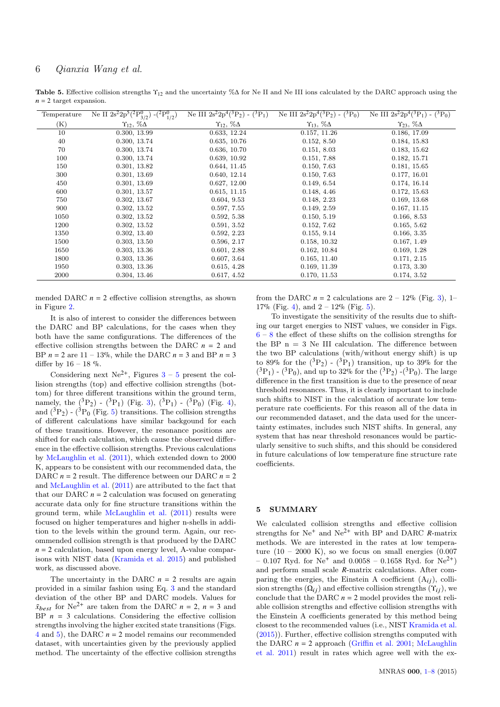<span id="page-5-0"></span>Table 5. Effective collision strengths  $\Upsilon_{12}$  and the uncertainty % $\Delta$  for Ne II and Ne III ions calculated by the DARC approach using the  $n = 2$  target expansion.

| Temperature    | Ne II $2s^2 2p^5({}^2P^0_{3/2})$ - $({}^2P^0_{1/2})$ | Ne III $2s^2 2p^4({}^3P_2) - ({}^3P_1)$ | Ne III $2s^2 2p^4(^3P_2)$ -<br>$(^3P_0)$ | $-\left({}^{3}P_{0}\right)$<br>Ne III $2s^2 2p^4(^3P_1)$ |
|----------------|------------------------------------------------------|-----------------------------------------|------------------------------------------|----------------------------------------------------------|
| $(\mathrm{K})$ | $\Upsilon_{12}, \ \% \Delta$                         | $\Upsilon_{12}, \ \% \Delta$            | $\Upsilon_{13}$ , $\%\Delta$             | $\gamma_{23}, \, \% \Delta$                              |
| 10             | 0.300, 13.99                                         | 0.633, 12.24                            | 0.157, 11.26                             | 0.186, 17.09                                             |
| 40             | 0.300, 13.74                                         | 0.635, 10.76                            | 0.152, 8.50                              | 0.184, 15.83                                             |
| 70             | 0.300, 13.74                                         | 0.636, 10.70                            | 0.151, 8.03                              | 0.183, 15.62                                             |
| 100            | 0.300, 13.74                                         | 0.639, 10.92                            | 0.151, 7.88                              | 0.182, 15.71                                             |
| 150            | 0.301, 13.82                                         | 0.644, 11.45                            | 0.150, 7.63                              | 0.181, 15.65                                             |
| 300            | 0.301, 13.69                                         | 0.640, 12.14                            | 0.150, 7.63                              | 0.177, 16.01                                             |
| 450            | 0.301, 13.69                                         | 0.627, 12.00                            | 0.149, 6.54                              | 0.174, 16.14                                             |
| 600            | 0.301, 13.57                                         | 0.615, 11.15                            | 0.148, 4.46                              | 0.172, 15.63                                             |
| 750            | 0.302, 13.67                                         | 0.604, 9.53                             | 0.148, 2.23                              | 0.169, 13.68                                             |
| 900            | 0.302, 13.52                                         | 0.597, 7.55                             | 0.149, 2.59                              | 0.167, 11.15                                             |
| 1050           | 0.302, 13.52                                         | 0.592, 5.38                             | 0.150, 5.19                              | 0.166, 8.53                                              |
| 1200           | 0.302, 13.52                                         | 0.591, 3.52                             | 0.152, 7.62                              | 0.165, 5.62                                              |
| 1350           | 0.302, 13.40                                         | 0.592, 2.23                             | 0.155, 9.14                              | 0.166, 3.35                                              |
| 1500           | 0.303, 13.50                                         | 0.596, 2.17                             | 0.158, 10.32                             | 0.167, 1.49                                              |
| 1650           | 0.303, 13.36                                         | 0.601, 2.88                             | 0.162, 10.84                             | 0.169, 1.28                                              |
| 1800           | 0.303, 13.36                                         | 0.607, 3.64                             | 0.165, 11.40                             | 0.171, 2.15                                              |
| 1950           | 0.303, 13.36                                         | 0.615, 4.28                             | 0.169, 11.39                             | 0.173, 3.30                                              |
| 2000           | 0.304, 13.46                                         | 0.617, 4.52                             | 0.170, 11.53                             | 0.174, 3.52                                              |

mended DARC  $n = 2$  effective collision strengths, as shown in Figure [2.](#page-6-16)

It is also of interest to consider the differences between the DARC and BP calculations, for the cases when they both have the same configurations. The differences of the effective collision strengths between the DARC *n* = 2 and BP  $n = 2$  are  $11 - 13\%$ , while the DARC  $n = 3$  and BP  $n = 3$ differ by  $16 - 18$  %.

Considering next  $Ne^{2+}$ , Figures  $3-5$  $3-5$  $3-5$  present the collision strengths (top) and effective collision strengths (bottom) for three different transitions within the ground term, namely, the  $({}^{3}P_{2}) - ({}^{3}P_{1})$  (Fig. [3\)](#page-6-17),  $({}^{3}P_{1}) - ({}^{3}P_{0})$  (Fig. [4\)](#page-7-20), and  $({}^{3}P_{2})$  -  $({}^{3}P_{0}$  (Fig. [5\)](#page-7-17) transitions. The collision strengths of different calculations have similar backgound for each of these transitions. However, the resonance positions are shifted for each calculation, which cause the observed difference in the effective collision strengths. Previous calculations by [McLaughlin et al.](#page-7-9) [\(2011\)](#page-7-9), which extended down to 2000 K, appears to be consistent with our recommended data, the DARC  $n = 2$  result. The difference between our DARC  $n = 2$ and [McLaughlin et al.](#page-7-9) [\(2011\)](#page-7-9) are attributed to the fact that that our DARC  $n = 2$  calculation was focused on generating accurate data only for fine structure transitions within the ground term, while [McLaughlin et al.](#page-7-9) [\(2011\)](#page-7-9) results were focused on higher temperatures and higher n-shells in addition to the levels within the ground term. Again, our recommended collision strength is that produced by the DARC  $n = 2$  calculation, based upon energy level, A-value comparisons with NIST data [\(Kramida et al.](#page-7-15) [2015\)](#page-7-15) and published work, as discussed above.

The uncertainty in the DARC  $n = 2$  results are again provided in a similar fashion using Eq. [3](#page-4-2) and the standard deviation of the other BP and DARC models. Values for  $\bar{x}_{best}$  for Ne<sup>2+</sup> are taken from the DARC  $n = 2$ ,  $n = 3$  and BP  $n = 3$  calculations. Considering the effective collision strengths involving the higher excited state transitions (Figs. [4](#page-7-20) and [5\)](#page-7-17), the DARC *n* = 2 model remains our recommended dataset, with uncertainties given by the previously applied method. The uncertainty of the effective collision strengths

from the DARC  $n = 2$  calculations are  $2 - 12\%$  (Fig. [3\)](#page-6-17), 1– 17% (Fig. [4\)](#page-7-20), and  $2 - 12%$  (Fig. [5\)](#page-7-17).

To investigate the sensitivity of the results due to shifting our target energies to NIST values, we consider in Figs.  $6 - 8$  $6 - 8$  $6 - 8$  the effect of these shifts on the collision strengths for the BP  $n = 3$  Ne III calculation. The difference between the two BP calculations (with/without energy shift) is up to 89% for the  $({}^{3}P_{2}) - ({}^{3}P_{1})$  transition, up to 39% for the  $({}^{3}P_{1})$  -  $({}^{3}P_{0})$ , and up to 32% for the  $({}^{3}P_{2})$  -( ${}^{3}P_{0}$ ). The large difference in the first transition is due to the presence of near threshold resonances. Thus, it is clearly important to include such shifts to NIST in the calculation of accurate low temperature rate coefficients. For this reason all of the data in our recommended dataset, and the data used for the uncertainty estimates, includes such NIST shifts. In general, any system that has near threshold resonances would be particularly sensitive to such shifts, and this should be considered in future calculations of low temperature fine structure rate coefficients.

## 5 SUMMARY

We calculated collision strengths and effective collision strengths for  $Ne^+$  and  $Ne^{2+}$  with BP and DARC *R*-matrix methods. We are interested in the rates at low temperature  $(10 - 2000 \text{ K})$ , so we focus on small energies  $(0.007$  $-0.107$  Ryd. for Ne<sup>+</sup> and  $0.0058 - 0.1658$  Ryd. for Ne<sup>2+</sup>) and perform small scale *R*-matrix calculations. After comparing the energies, the Einstein A coefficient  $(A_{ii})$ , collision strengths  $(Q_{ij})$  and effective collision strengths  $(\Upsilon_{ij})$ , we conclude that the DARC  $n = 2$  model provides the most reliable collision strengths and effective collision strengths with the Einstein A coefficients generated by this method being closest to the recommended values (i.e., NIST [Kramida et al.](#page-7-15) [\(2015\)](#page-7-15)). Further, effective collision strengths computed with the DARC  $n = 2$  approach [\(Griffin et al.](#page-7-4) [2001;](#page-7-4) [McLaughlin](#page-7-9) [et al.](#page-7-9) [2011\)](#page-7-9) result in rates which agree well with the ex-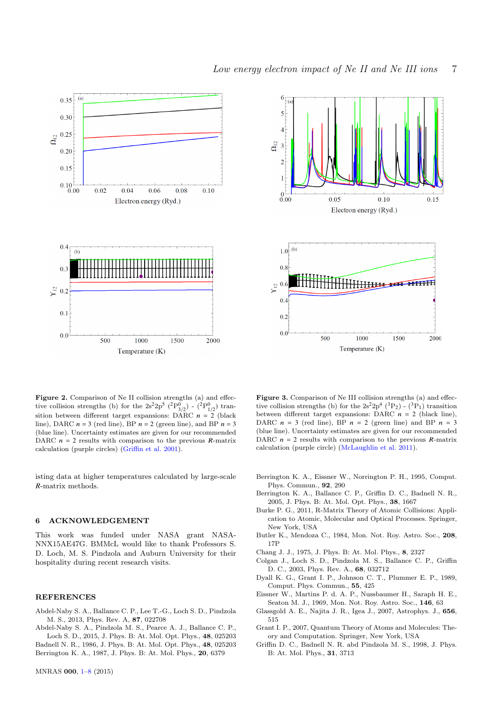



<span id="page-6-16"></span>Figure 2. Comparison of Ne II collision strengths (a) and effective collision strengths (b) for the  $2s^22p^5$  ( ${}^{2}P^{0}_{3/2}$ ) - ( ${}^{2}P^{0}_{1/2}$ ) transition between different target expansions: DARC  $n = 2$  (black line), DARC  $n = 3$  (red line), BP  $n = 2$  (green line), and BP  $n = 3$ (blue line). Uncertainty estimates are given for our recommended DARC  $n = 2$  results with comparison to the previous  $R$ -matrix calculation (purple circles) [\(Griffin et al.](#page-7-4) [2001\)](#page-7-4).

isting data at higher temperatures calculated by large-scale *R*-matrix methods.

#### <span id="page-6-0"></span>6 ACKNOWLEDGEMENT

This work was funded under NASA grant NASA-NNX15AE47G. BMMcL would like to thank Professors S. D. Loch, M. S. Pindzola and Auburn University for their hospitality during recent research visits.

#### **REFERENCES**

<span id="page-6-4"></span>Abdel-Naby S. A., Ballance C. P., Lee T.-G., Loch S. D., Pindzola M. S., 2013, Phys. Rev. A, 87, 022708

<span id="page-6-10"></span><span id="page-6-7"></span><span id="page-6-5"></span>Abdel-Naby S. A., Pindzola M. S., Pearce A. J., Ballance C. P., Loch S. D., 2015, J. Phys. B: At. Mol. Opt. Phys., 48, 025203 Badnell N. R., 1986, J. Phys. B: At. Mol. Opt. Phys., 48, 025203 Berrington K. A., 1987, J. Phys. B: At. Mol. Phys., 20, 6379

<span id="page-6-17"></span>Figure 3. Comparison of Ne III collision strengths (a) and effective collision strengths (b) for the  $2s^22p^4$  (<sup>3</sup>P<sub>2</sub>) - (<sup>3</sup>P<sub>1</sub>) transition between different target expansions: DARC  $n = 2$  (black line), DARC  $n = 3$  (red line), BP  $n = 2$  (green line) and BP  $n = 3$ (blue line). Uncertainty estimates are given for our recommended DARC  $n = 2$  results with comparison to the previous  $R$ -matrix calculation (purple circle) [\(McLaughlin et al.](#page-7-9) [2011\)](#page-7-9).

- <span id="page-6-11"></span>Berrington K. A., Eissner W., Norrington P. H., 1995, Comput. Phys. Commun., 92, 290
- <span id="page-6-3"></span>Berrington K. A., Ballance C. P., Griffin D. C., Badnell N. R., 2005, J. Phys. B: At. Mol. Opt. Phys., 38, 1667
- <span id="page-6-14"></span>Burke P. G., 2011, R-Matrix Theory of Atomic Collisions: Application to Atomic, Molecular and Optical Processes. Springer, New York, USA
- <span id="page-6-1"></span>Butler K., Mendoza C., 1984, Mon. Not. Roy. Astro. Soc., 208, 17P
- <span id="page-6-13"></span>Chang J. J., 1975, J. Phys. B: At. Mol. Phys., 8, 2327
- <span id="page-6-2"></span>Colgan J., Loch S. D., Pindzola M. S., Ballance C. P., Griffin D. C., 2003, Phys. Rev. A., 68, 032712
- <span id="page-6-8"></span>Dyall K. G., Grant I. P., Johnson C. T., Plummer E. P., 1989, Comput. Phys. Commun., 55, 425
- <span id="page-6-15"></span>Eissner W., Martins P. d. A. P., Nussbaumer H., Saraph H. E., Seaton M. J., 1969, Mon. Not. Roy. Astro. Soc., 146, 63
- <span id="page-6-6"></span>Glassgold A. E., Najita J. R., Igea J., 2007, Astrophys. J., 656, 515
- <span id="page-6-9"></span>Grant I. P., 2007, Quantum Theory of Atoms and Molecules: Theory and Computation. Springer, New York, USA
- <span id="page-6-12"></span>Griffin D. C., Badnell N. R. abd Pindzola M. S., 1998, J. Phys. B: At. Mol. Phys., 31, 3713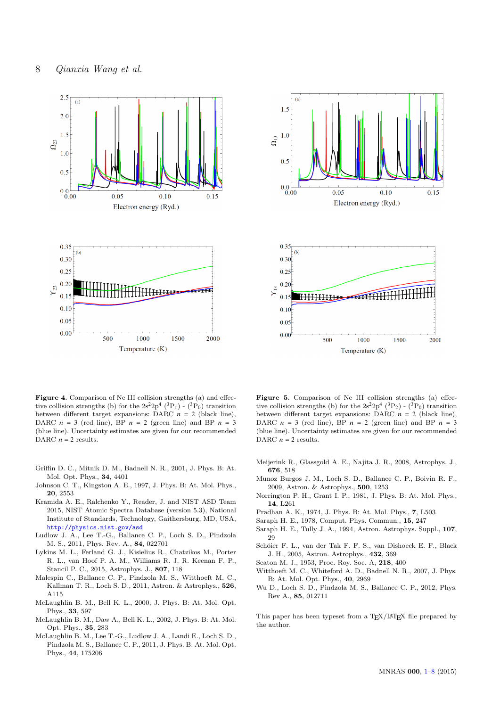



<span id="page-7-20"></span>Figure 4. Comparison of Ne III collision strengths (a) and effective collision strengths (b) for the  $2s^22p^4$  (<sup>3</sup>P<sub>1</sub>) - (<sup>3</sup>P<sub>0</sub>) transition between different target expansions: DARC  $n = 2$  (black line), DARC  $n = 3$  (red line), BP  $n = 2$  (green line) and BP  $n = 3$ (blue line). Uncertainty estimates are given for our recommended DARC  $n = 2$  results.

- <span id="page-7-4"></span>Griffin D. C., Mitnik D. M., Badnell N. R., 2001, J. Phys. B: At. Mol. Opt. Phys., 34, 4401
- <span id="page-7-1"></span>Johnson C. T., Kingston A. E., 1997, J. Phys. B: At. Mol. Phys., 20, 2553
- <span id="page-7-15"></span>Kramida A. E., Ralchenko Y., Reader, J. and NIST ASD Team 2015, NIST Atomic Spectra Database (version 5.3), National Institute of Standards, Technology, Gaithersburg, MD, USA, <http://physics.nist.gov/asd>
- <span id="page-7-7"></span>Ludlow J. A., Lee T.-G., Ballance C. P., Loch S. D., Pindzola M. S., 2011, Phys. Rev. A., 84, 022701
- <span id="page-7-19"></span>Lykins M. L., Ferland G. J., Kisielius R., Chatzikos M., Porter R. L., van Hoof P. A. M., Williams R. J. R. Keenan F. P., Stancil P. C., 2015, Astrophys. J., 807, 118
- <span id="page-7-8"></span>Malespin C., Ballance C. P., Pindzola M. S., Witthoeft M. C., Kallman T. R., Loch S. D., 2011, Astron. & Astrophys., 526, A115
- <span id="page-7-12"></span>McLaughlin B. M., Bell K. L., 2000, J. Phys. B: At. Mol. Opt. Phys., 33, 597
- <span id="page-7-13"></span>McLaughlin B. M., Daw A., Bell K. L., 2002, J. Phys. B: At. Mol. Opt. Phys., 35, 283
- <span id="page-7-9"></span>McLaughlin B. M., Lee T.-G., Ludlow J. A., Landi E., Loch S. D., Pindzola M. S., Ballance C. P., 2011, J. Phys. B: At. Mol. Opt. Phys., 44, 175206

<span id="page-7-17"></span>Figure 5. Comparison of Ne III collision strengths (a) effective collision strengths (b) for the  $2s^22p^4$  (<sup>3</sup>P<sub>2</sub>) - (<sup>3</sup>P<sub>0</sub>) transition between different target expansions: DARC  $n = 2$  (black line), DARC  $n = 3$  (red line), BP  $n = 2$  (green line) and BP  $n = 3$ (blue line). Uncertainty estimates are given for our recommended DARC  $n=2$  results.

- <span id="page-7-11"></span>Meijerink R., Glassgold A. E., Najita J. R., 2008, Astrophys. J., 676, 518
- <span id="page-7-6"></span>Munoz Burgos J. M., Loch S. D., Ballance C. P., Boivin R. F., 2009, Astron. & Astrophys., 500, 1253
- <span id="page-7-14"></span>Norrington P. H., Grant I. P., 1981, J. Phys. B: At. Mol. Phys., 14, L261
- <span id="page-7-0"></span>Pradhan A. K., 1974, J. Phys. B: At. Mol. Phys., 7, L503
- <span id="page-7-2"></span>Saraph H. E., 1978, Comput. Phys. Commun., 15, 247
- <span id="page-7-3"></span>Saraph H. E., Tully J. A., 1994, Astron. Astrophys. Suppl., 107, 29
- <span id="page-7-18"></span>Schöier F. L., van der Tak F. F. S., van Dishoeck E. F., Black J. H., 2005, Astron. Astrophys., 432, 369
- <span id="page-7-16"></span>Seaton M. J., 1953, Proc. Roy. Soc. A, 218, 400
- <span id="page-7-5"></span>Witthoeft M. C., Whiteford A. D., Badnell N. R., 2007, J. Phys. B: At. Mol. Opt. Phys., 40, 2969
- <span id="page-7-10"></span>Wu D., Loch S. D., Pindzola M. S., Ballance C. P., 2012, Phys. Rev A., 85, 012711

This paper has been typeset from a TEX/LATEX file prepared by the author.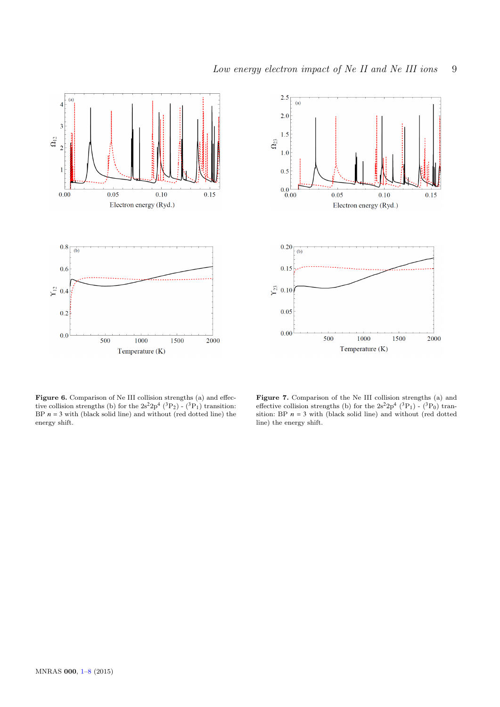



<span id="page-8-0"></span>Figure 6. Comparison of Ne III collision strengths (a) and effective collision strengths (b) for the  $2s^22p^4$  (<sup>3</sup>P<sub>2</sub>) - (<sup>3</sup>P<sub>1</sub>) transition: BP  $n = 3$  with (black solid line) and without (red dotted line) the energy shift.

Figure 7. Comparison of the Ne III collision strengths (a) and effective collision strengths (b) for the  $2s^22p^4$  (<sup>3</sup>P<sub>1</sub>) - (<sup>3</sup>P<sub>0</sub>) transition: BP  $n = 3$  with (black solid line) and without (red dotted line) the energy shift.